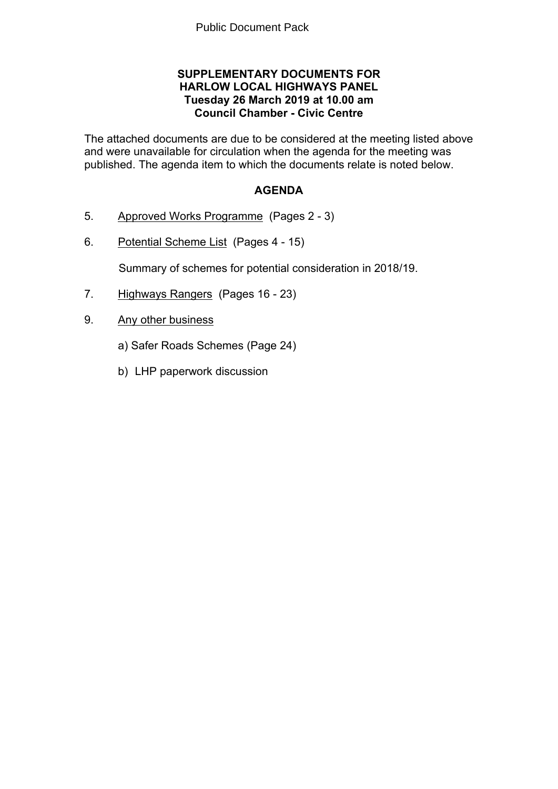### **SUPPLEMENTARY DOCUMENTS FOR HARLOW LOCAL HIGHWAYS PANEL Tuesday 26 March 2019 at 10.00 am Council Chamber - Civic Centre**

The attached documents are due to be considered at the meeting listed above and were unavailable for circulation when the agenda for the meeting was published. The agenda item to which the documents relate is noted below.

### **AGENDA**

- 5. Approved Works Programme(Pages 2 3)
- 6. Potential Scheme List(Pages 4 15)

Summary of schemes for potential consideration in 2018/19.

- 7. Highways Rangers(Pages 16 23)
- 9. Any other business
	- a) Safer Roads Schemes (Page 24)
	- b) LHP paperwork discussion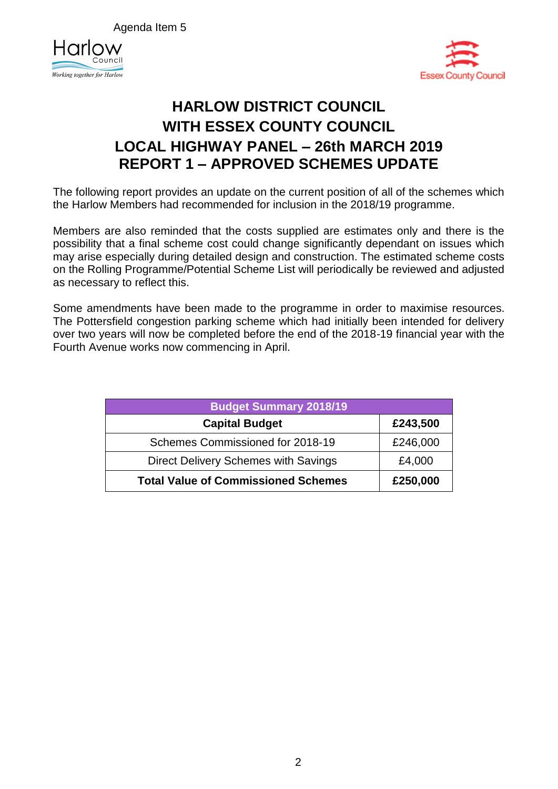Agenda Item 5





# **HARLOW DISTRICT COUNCIL WITH ESSEX COUNTY COUNCIL LOCAL HIGHWAY PANEL – 26th MARCH 2019 REPORT 1 – APPROVED SCHEMES UPDATE**

The following report provides an update on the current position of all of the schemes which the Harlow Members had recommended for inclusion in the 2018/19 programme.

Members are also reminded that the costs supplied are estimates only and there is the possibility that a final scheme cost could change significantly dependant on issues which may arise especially during detailed design and construction. The estimated scheme costs on the Rolling Programme/Potential Scheme List will periodically be reviewed and adjusted as necessary to reflect this.

Some amendments have been made to the programme in order to maximise resources. The Pottersfield congestion parking scheme which had initially been intended for delivery over two years will now be completed before the end of the 2018-19 financial year with the Fourth Avenue works now commencing in April.

| <b>Budget Summary 2018/19</b>              |          |  |  |  |  |
|--------------------------------------------|----------|--|--|--|--|
| <b>Capital Budget</b>                      | £243,500 |  |  |  |  |
| Schemes Commissioned for 2018-19           | £246,000 |  |  |  |  |
| Direct Delivery Schemes with Savings       | £4,000   |  |  |  |  |
| <b>Total Value of Commissioned Schemes</b> | £250,000 |  |  |  |  |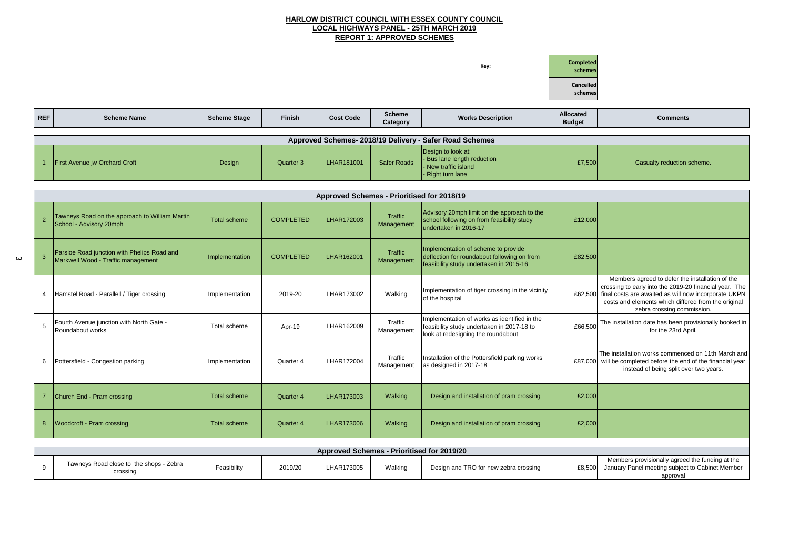### **HARLOW DISTRICT COUNCIL WITH ESSEX COUNTY COUNCIL LOCAL HIGHWAYS PANEL - 25TH MARCH 2019 REPORT 1: APPROVED SCHEMES**

**Key: Completed schemes Cancelled schemes REF Scheme Name Scheme Stage Finish Cost Code Scheme Category Category Morks Description Category Category Category Category Category Category Category Category Category Category Category Category Category Category Category Category Category Categ** 

#### **Budget Comments**

Casualty reduction scheme.

|  | Approved Schemes- 2018/19 Delivery - Safer Road Schemes |        |           |            |                    |                                                                                                |        |  |  |  |
|--|---------------------------------------------------------|--------|-----------|------------|--------------------|------------------------------------------------------------------------------------------------|--------|--|--|--|
|  | <b>First Avenue jw Orchard Croft</b>                    | Design | Quarter 3 | LHAR181001 | <b>Safer Roads</b> | Design to look at:<br>- Bus lane length reduction<br>- New traffic island<br>- Right turn lane | £7,500 |  |  |  |

|                | Approved Schemes - Prioritised for 2018/19                                        |                     |                  |                                                   |                              |                                                                                                                                  |         |  |  |  |
|----------------|-----------------------------------------------------------------------------------|---------------------|------------------|---------------------------------------------------|------------------------------|----------------------------------------------------------------------------------------------------------------------------------|---------|--|--|--|
| $\overline{2}$ | Tawneys Road on the approach to William Martin<br>School - Advisory 20mph         | <b>Total scheme</b> | <b>COMPLETED</b> | LHAR172003                                        | <b>Traffic</b><br>Management | Advisory 20mph limit on the approach to the<br>school following on from feasibility study<br>undertaken in 2016-17               | £12,000 |  |  |  |
| 3              | Parsloe Road junction with Phelips Road and<br>Markwell Wood - Traffic management | Implementation      | <b>COMPLETED</b> | LHAR162001                                        | Traffic<br>Management        | Implementation of scheme to provide<br>deflection for roundabout following on from<br>feasibility study undertaken in 2015-16    | £82,500 |  |  |  |
| 4              | Hamstel Road - Parallell / Tiger crossing                                         | Implementation      | 2019-20          | LHAR173002                                        | Walking                      | Implementation of tiger crossing in the vicinity<br>of the hospital                                                              | £62,500 |  |  |  |
| 5              | Fourth Avenue junction with North Gate -<br>Roundabout works                      | Total scheme        | Apr-19           | LHAR162009                                        | Traffic<br>Management        | Implementation of works as identified in the<br>feasibility study undertaken in 2017-18 to<br>look at redesigning the roundabout | £66,500 |  |  |  |
| 6              | Pottersfield - Congestion parking                                                 | Implementation      | Quarter 4        | LHAR172004                                        | Traffic<br>Management        | Installation of the Pottersfield parking works<br>as designed in 2017-18                                                         | £87,000 |  |  |  |
|                | Church End - Pram crossing                                                        | <b>Total scheme</b> | Quarter 4        | LHAR173003                                        | Walking                      | Design and installation of pram crossing                                                                                         | £2,000  |  |  |  |
| 8              | <b>Woodcroft - Pram crossing</b>                                                  | <b>Total scheme</b> | <b>Quarter 4</b> | LHAR173006                                        | Walking                      | Design and installation of pram crossing                                                                                         | £2,000  |  |  |  |
|                |                                                                                   |                     |                  |                                                   |                              |                                                                                                                                  |         |  |  |  |
|                |                                                                                   |                     |                  | <b>Approved Schemes - Prioritised for 2019/20</b> |                              |                                                                                                                                  |         |  |  |  |
| 9              | Tawneys Road close to the shops - Zebra<br>crossing                               | Feasibility         | 2019/20          | LHAR173005                                        | Walking                      | Design and TRO for new zebra crossing                                                                                            | £8,500  |  |  |  |

 $\omega$ 



| £12,000 |                                                                                                                                                                                                                                                        |
|---------|--------------------------------------------------------------------------------------------------------------------------------------------------------------------------------------------------------------------------------------------------------|
| £82,500 |                                                                                                                                                                                                                                                        |
| £62,500 | Members agreed to defer the installation of the<br>crossing to early into the 2019-20 financial year. The<br>final costs are awaited as will now incorporate UKPN<br>costs and elements which differed from the original<br>zebra crossing commission. |
| £66,500 | The installation date has been provisionally booked in<br>for the 23rd April.                                                                                                                                                                          |
| £87,000 | The installation works commenced on 11th March and<br>will be completed before the end of the financial year<br>instead of being split over two years.                                                                                                 |
| £2,000  |                                                                                                                                                                                                                                                        |
| £2,000  |                                                                                                                                                                                                                                                        |
|         |                                                                                                                                                                                                                                                        |
|         |                                                                                                                                                                                                                                                        |
|         | .                                                                                                                                                                                                                                                      |

Members provisionally agreed the funding at the January Panel meeting subject to Cabinet Member approval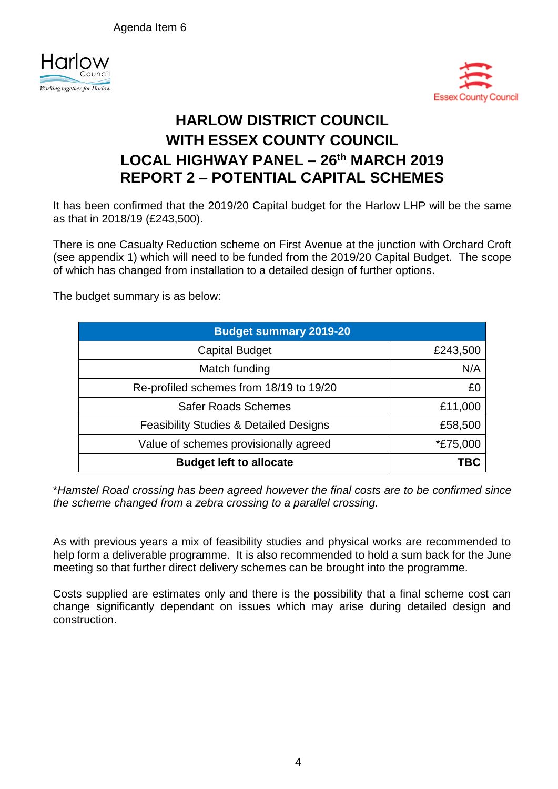Agenda Item 6





# **HARLOW DISTRICT COUNCIL WITH ESSEX COUNTY COUNCIL LOCAL HIGHWAY PANEL – 26th MARCH 2019 REPORT 2 – POTENTIAL CAPITAL SCHEMES**

It has been confirmed that the 2019/20 Capital budget for the Harlow LHP will be the same as that in 2018/19 (£243,500).

There is one Casualty Reduction scheme on First Avenue at the junction with Orchard Croft (see appendix 1) which will need to be funded from the 2019/20 Capital Budget. The scope of which has changed from installation to a detailed design of further options.

The budget summary is as below:

| <b>Budget summary 2019-20</b>                     |                 |  |  |  |  |  |  |
|---------------------------------------------------|-----------------|--|--|--|--|--|--|
| <b>Capital Budget</b>                             | £243,500        |  |  |  |  |  |  |
| Match funding                                     | N/A             |  |  |  |  |  |  |
| Re-profiled schemes from 18/19 to 19/20           | £0              |  |  |  |  |  |  |
| <b>Safer Roads Schemes</b>                        | £11,000         |  |  |  |  |  |  |
| <b>Feasibility Studies &amp; Detailed Designs</b> | £58,500         |  |  |  |  |  |  |
| Value of schemes provisionally agreed             | <i>*£75,000</i> |  |  |  |  |  |  |
| <b>Budget left to allocate</b>                    | TBC             |  |  |  |  |  |  |

\**Hamstel Road crossing has been agreed however the final costs are to be confirmed since the scheme changed from a zebra crossing to a parallel crossing.*

As with previous years a mix of feasibility studies and physical works are recommended to help form a deliverable programme. It is also recommended to hold a sum back for the June meeting so that further direct delivery schemes can be brought into the programme.

Costs supplied are estimates only and there is the possibility that a final scheme cost can change significantly dependant on issues which may arise during detailed design and construction.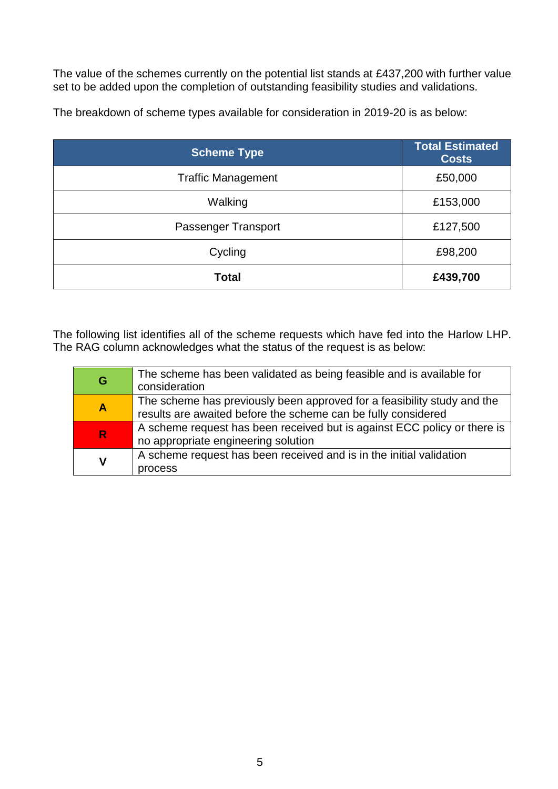The value of the schemes currently on the potential list stands at £437,200 with further value set to be added upon the completion of outstanding feasibility studies and validations.

| <b>Scheme Type</b>        | <b>Total Estimated</b><br><b>Costs</b> |
|---------------------------|----------------------------------------|
| <b>Traffic Management</b> | £50,000                                |
| Walking                   | £153,000                               |
| Passenger Transport       | £127,500                               |
| Cycling                   | £98,200                                |
| <b>Total</b>              | £439,700                               |

The breakdown of scheme types available for consideration in 2019-20 is as below:

The following list identifies all of the scheme requests which have fed into the Harlow LHP. The RAG column acknowledges what the status of the request is as below:

| G                       | The scheme has been validated as being feasible and is available for<br>consideration                                                    |
|-------------------------|------------------------------------------------------------------------------------------------------------------------------------------|
| $\overline{\mathsf{A}}$ | The scheme has previously been approved for a feasibility study and the<br>results are awaited before the scheme can be fully considered |
| R.                      | A scheme request has been received but is against ECC policy or there is<br>no appropriate engineering solution                          |
| $\mathsf{V}$            | A scheme request has been received and is in the initial validation<br>process                                                           |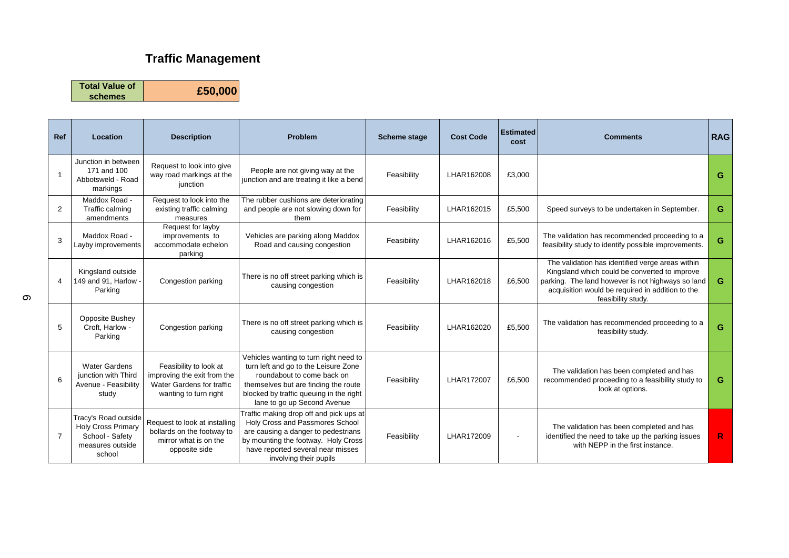### **Traffic Management**

**Total Value of** 

**schemes £50,000**

| <b>Ref</b>     | Location                                                                                           | <b>Description</b>                                                                                          | <b>Problem</b>                                                                                                                                                                                                                 | <b>Scheme stage</b> | <b>Cost Code</b> | <b>Estimated</b><br>cost | <b>Comments</b>                                                                                                                                                                                                                  | <b>RAG</b>  |
|----------------|----------------------------------------------------------------------------------------------------|-------------------------------------------------------------------------------------------------------------|--------------------------------------------------------------------------------------------------------------------------------------------------------------------------------------------------------------------------------|---------------------|------------------|--------------------------|----------------------------------------------------------------------------------------------------------------------------------------------------------------------------------------------------------------------------------|-------------|
| $\overline{1}$ | Junction in between<br>171 and 100<br>Abbotsweld - Road<br>markings                                | Request to look into give<br>way road markings at the<br>junction                                           | People are not giving way at the<br>junction and are treating it like a bend                                                                                                                                                   | Feasibility         | LHAR162008       | £3,000                   |                                                                                                                                                                                                                                  | G           |
| 2              | Maddox Road -<br>Traffic calming<br>amendments                                                     | Request to look into the<br>existing traffic calming<br>measures                                            | The rubber cushions are deteriorating<br>and people are not slowing down for<br>them                                                                                                                                           | Feasibility         | LHAR162015       | £5,500                   | Speed surveys to be undertaken in September.                                                                                                                                                                                     | G           |
| 3              | Maddox Road -<br>Layby improvements                                                                | Request for layby<br>improvements to<br>accommodate echelon<br>parking                                      | Vehicles are parking along Maddox<br>Road and causing congestion                                                                                                                                                               | Feasibility         | LHAR162016       | £5,500                   | The validation has recommended proceeding to a<br>feasibility study to identify possible improvements.                                                                                                                           | G           |
| $\overline{4}$ | Kingsland outside<br>149 and 91, Harlow<br>Parking                                                 | Congestion parking                                                                                          | There is no off street parking which is<br>causing congestion                                                                                                                                                                  | Feasibility         | LHAR162018       | £6,500                   | The validation has identified verge areas within<br>Kingsland which could be converted to improve<br>parking. The land however is not highways so land<br>acquisition would be required in addition to the<br>feasibility study. | G           |
| 5              | <b>Opposite Bushey</b><br>Croft, Harlow -<br>Parking                                               | Congestion parking                                                                                          | There is no off street parking which is<br>causing congestion                                                                                                                                                                  | Feasibility         | LHAR162020       | £5,500                   | The validation has recommended proceeding to a<br>feasibility study.                                                                                                                                                             | G           |
| 6              | <b>Water Gardens</b><br>junction with Third<br>Avenue - Feasibility<br>study                       | Feasibility to look at<br>improving the exit from the<br>Water Gardens for traffic<br>wanting to turn right | Vehicles wanting to turn right need to<br>turn left and go to the Leisure Zone<br>roundabout to come back on<br>themselves but are finding the route<br>blocked by traffic queuing in the right<br>lane to go up Second Avenue | Feasibility         | LHAR172007       | £6,500                   | The validation has been completed and has<br>recommended proceeding to a feasibility study to<br>look at options.                                                                                                                | G           |
| $\overline{7}$ | Tracy's Road outside<br><b>Holy Cross Primary</b><br>School - Safety<br>measures outside<br>school | Request to look at installing<br>bollards on the footway to<br>mirror what is on the<br>opposite side       | Traffic making drop off and pick ups at<br>Holy Cross and Passmores School<br>are causing a danger to pedestrians<br>by mounting the footway. Holy Cross<br>have reported several near misses<br>involving their pupils        | Feasibility         | LHAR172009       |                          | The validation has been completed and has<br>identified the need to take up the parking issues<br>with NEPP in the first instance.                                                                                               | $\mathbb R$ |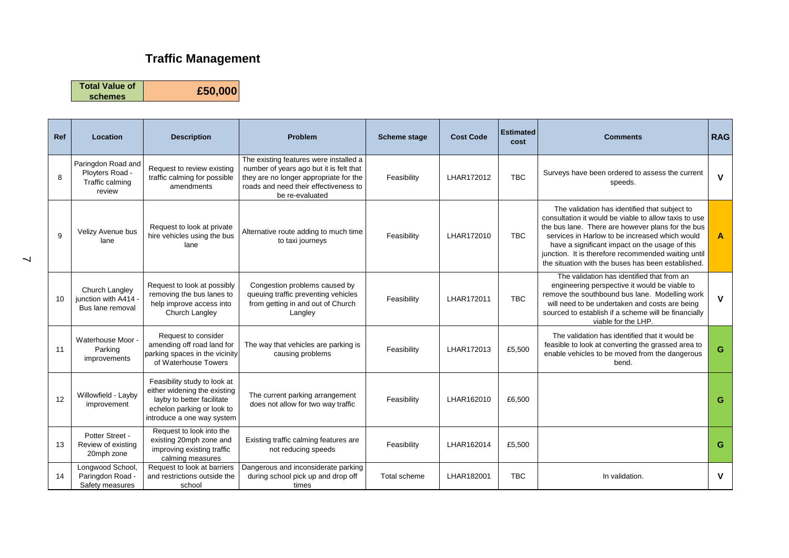## **Traffic Management**

**Total Value of schemes £50,000**

| Ref | Location                                                           | <b>Description</b>                                                                                                                                     | <b>Problem</b>                                                                                                                                                                          | <b>Scheme stage</b> | <b>Cost Code</b> | <b>Estimated</b><br>cost | <b>Comments</b>                                                                                                                                                                                                                                                                                                                                                              | <b>RAG</b>              |
|-----|--------------------------------------------------------------------|--------------------------------------------------------------------------------------------------------------------------------------------------------|-----------------------------------------------------------------------------------------------------------------------------------------------------------------------------------------|---------------------|------------------|--------------------------|------------------------------------------------------------------------------------------------------------------------------------------------------------------------------------------------------------------------------------------------------------------------------------------------------------------------------------------------------------------------------|-------------------------|
| 8   | Paringdon Road and<br>Ployters Road -<br>Traffic calming<br>review | Request to review existing<br>traffic calming for possible<br>amendments                                                                               | The existing features were installed a<br>number of years ago but it is felt that<br>they are no longer appropriate for the<br>roads and need their effectiveness to<br>be re-evaluated | Feasibility         | LHAR172012       | <b>TBC</b>               | Surveys have been ordered to assess the current<br>speeds.                                                                                                                                                                                                                                                                                                                   | $\mathbf{V}$            |
| 9   | Velizy Avenue bus<br>lane                                          | Request to look at private<br>hire vehicles using the bus<br>lane                                                                                      | Alternative route adding to much time<br>to taxi journeys                                                                                                                               | Feasibility         | LHAR172010       | <b>TBC</b>               | The validation has identified that subject to<br>consultation it would be viable to allow taxis to use<br>the bus lane. There are however plans for the bus<br>services in Harlow to be increased which would<br>have a significant impact on the usage of this<br>junction. It is therefore recommended waiting until<br>the situation with the buses has been established. | $\overline{\mathsf{A}}$ |
| 10  | Church Langley<br>junction with A414 -<br>Bus lane removal         | Request to look at possibly<br>removing the bus lanes to<br>help improve access into<br>Church Langley                                                 | Congestion problems caused by<br>queuing traffic preventing vehicles<br>from getting in and out of Church<br>Langley                                                                    | Feasibility         | LHAR172011       | <b>TBC</b>               | The validation has identified that from an<br>engineering perspective it would be viable to<br>remove the southbound bus lane. Modelling work<br>will need to be undertaken and costs are being<br>sourced to establish if a scheme will be financially<br>viable for the LHP.                                                                                               | $\mathbf v$             |
| 11  | Waterhouse Moor -<br>Parking<br>improvements                       | Request to consider<br>amending off road land for<br>parking spaces in the vicinity<br>of Waterhouse Towers                                            | The way that vehicles are parking is<br>causing problems                                                                                                                                | Feasibility         | LHAR172013       | £5,500                   | The validation has identified that it would be<br>feasible to look at converting the grassed area to<br>enable vehicles to be moved from the dangerous<br>bend.                                                                                                                                                                                                              | G                       |
| 12  | Willowfield - Layby<br>improvement                                 | Feasibility study to look at<br>either widening the existing<br>layby to better facilitate<br>echelon parking or look to<br>introduce a one way system | The current parking arrangement<br>does not allow for two way traffic                                                                                                                   | Feasibility         | LHAR162010       | £6,500                   |                                                                                                                                                                                                                                                                                                                                                                              | G                       |
| 13  | Potter Street -<br>Review of existing<br>20mph zone                | Request to look into the<br>existing 20mph zone and<br>improving existing traffic<br>calming measures                                                  | Existing traffic calming features are<br>not reducing speeds                                                                                                                            | Feasibility         | LHAR162014       | £5,500                   |                                                                                                                                                                                                                                                                                                                                                                              | G                       |
| 14  | Longwood School,<br>Paringdon Road -<br>Safety measures            | Request to look at barriers<br>and restrictions outside the<br>school                                                                                  | Dangerous and inconsiderate parking<br>during school pick up and drop off<br>times                                                                                                      | Total scheme        | LHAR182001       | <b>TBC</b>               | In validation.                                                                                                                                                                                                                                                                                                                                                               | V                       |

 $\overline{\phantom{0}}$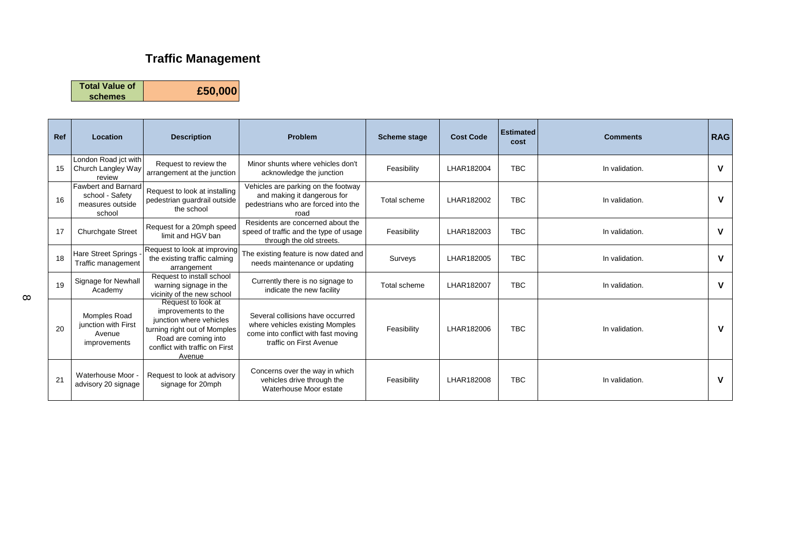## **Traffic Management**

**Total Value of** 

**schemes £50,000**

| <b>Ref</b> | Location                                                                    | <b>Description</b>                                                                                                                                                       | <b>Problem</b>                                                                                                                        | Scheme stage | <b>Cost Code</b> | <b>Estimated</b><br>cost | <b>Comments</b> | <b>RAG</b>  |
|------------|-----------------------------------------------------------------------------|--------------------------------------------------------------------------------------------------------------------------------------------------------------------------|---------------------------------------------------------------------------------------------------------------------------------------|--------------|------------------|--------------------------|-----------------|-------------|
| 15         | London Road jct with<br>Church Langley Way<br>review                        | Request to review the<br>arrangement at the junction                                                                                                                     | Minor shunts where vehicles don't<br>acknowledge the junction                                                                         | Feasibility  | LHAR182004       | <b>TBC</b>               | In validation.  | $\mathbf v$ |
| 16         | <b>Fawbert and Barnard</b><br>school - Safetv<br>measures outside<br>school | Request to look at installing<br>pedestrian guardrail outside<br>the school                                                                                              | Vehicles are parking on the footway<br>and making it dangerous for<br>pedestrians who are forced into the<br>road                     | Total scheme | LHAR182002       | <b>TBC</b>               | In validation.  | $\mathbf v$ |
| 17         | <b>Churchgate Street</b>                                                    | Request for a 20mph speed<br>limit and HGV ban                                                                                                                           | Residents are concerned about the<br>speed of traffic and the type of usage<br>through the old streets.                               | Feasibility  | LHAR182003       | <b>TBC</b>               | In validation.  | $\mathbf v$ |
| 18         | Hare Street Springs<br><b>Traffic management</b>                            | Request to look at improving<br>the existing traffic calming<br>arrangement                                                                                              | The existing feature is now dated and<br>needs maintenance or updating                                                                | Surveys      | LHAR182005       | <b>TBC</b>               | In validation.  | V           |
| 19         | Signage for Newhall<br>Academy                                              | Request to install school<br>warning signage in the<br>vicinity of the new school                                                                                        | Currently there is no signage to<br>indicate the new facility                                                                         | Total scheme | LHAR182007       | <b>TBC</b>               | In validation.  | V           |
| 20         | Momples Road<br>junction with First<br>Avenue<br>improvements               | Request to look at<br>improvements to the<br>junction where vehicles<br>turning right out of Momples<br>Road are coming into<br>conflict with traffic on First<br>Avenue | Several collisions have occurred<br>where vehicles existing Momples<br>come into conflict with fast moving<br>traffic on First Avenue | Feasibility  | LHAR182006       | <b>TBC</b>               | In validation.  | v           |
| 21         | Waterhouse Moor -<br>advisory 20 signage                                    | Request to look at advisory<br>signage for 20mph                                                                                                                         | Concerns over the way in which<br>vehicles drive through the<br>Waterhouse Moor estate                                                | Feasibility  | LHAR182008       | <b>TBC</b>               | In validation.  | $\mathbf v$ |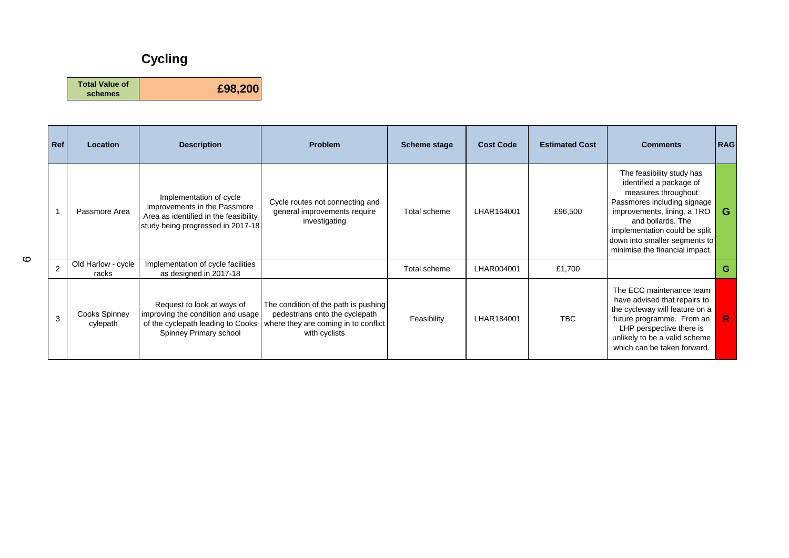## **Cycling**

**Total Value of schemes £98,200**

| Ref            | Location                    | <b>Description</b>                                                                                                                    | <b>Problem</b>                                                                                                                  | <b>Scheme stage</b> | <b>Cost Code</b> | <b>Estimated Cost</b> | <b>Comments</b>                                                                                                                                                                                                                                                    | <b>RAG</b> |
|----------------|-----------------------------|---------------------------------------------------------------------------------------------------------------------------------------|---------------------------------------------------------------------------------------------------------------------------------|---------------------|------------------|-----------------------|--------------------------------------------------------------------------------------------------------------------------------------------------------------------------------------------------------------------------------------------------------------------|------------|
|                | Passmore Area               | Implementation of cycle<br>improvements in the Passmore<br>Area as identified in the feasibility<br>study being progressed in 2017-18 | Cycle routes not connecting and<br>general improvements require<br>investigating                                                | Total scheme        | LHAR164001       | £96,500               | The feasibility study has<br>identified a package of<br>measures throughout<br>Passmores including signage<br>improvements, lining, a TRO<br>and bollards. The<br>implementation could be split<br>down into smaller segments to<br>minimise the financial impact. | G          |
| $\overline{2}$ | Old Harlow - cycle<br>racks | Implementation of cycle facilities<br>as designed in 2017-18                                                                          |                                                                                                                                 | Total scheme        | LHAR004001       | £1,700                |                                                                                                                                                                                                                                                                    | G          |
| 3              | Cooks Spinney<br>cylepath   | Request to look at ways of<br>improving the condition and usage<br>of the cyclepath leading to Cooks<br>Spinney Primary school        | The condition of the path is pushing<br>pedestrians onto the cyclepath<br>where they are coming in to conflict<br>with cyclists | Feasibility         | LHAR184001       | TBC.                  | The ECC maintenance team<br>have advised that repairs to<br>the cycleway will feature on a<br>future programme. From an<br>LHP perspective there is<br>unlikely to be a valid scheme<br>which can be taken forward.                                                | R          |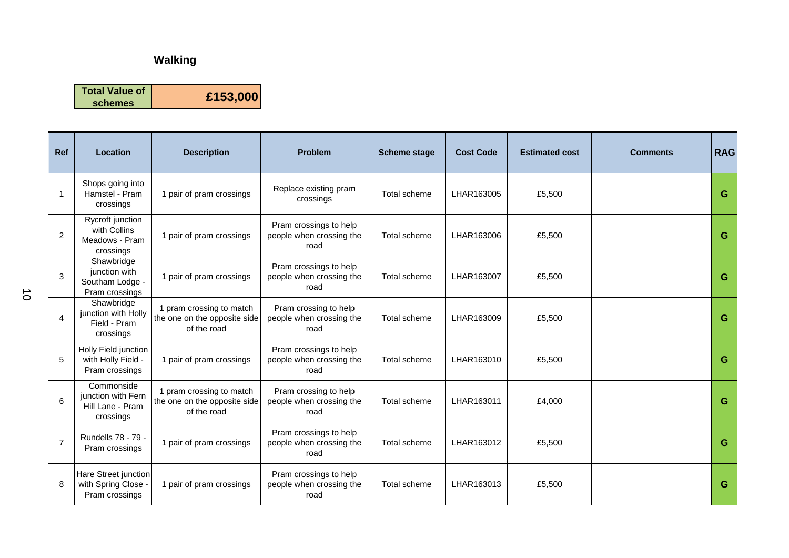**Total Value of schemes £153,000**

| <b>Ref</b>     | <b>Location</b>                                                   | <b>Description</b>                                                      | <b>Problem</b>                                             | <b>Scheme stage</b> | <b>Cost Code</b> | <b>Estimated cost</b> | <b>Comments</b> | <b>RAG</b> |
|----------------|-------------------------------------------------------------------|-------------------------------------------------------------------------|------------------------------------------------------------|---------------------|------------------|-----------------------|-----------------|------------|
|                | Shops going into<br>Hamstel - Pram<br>crossings                   | 1 pair of pram crossings                                                | Replace existing pram<br>crossings                         | Total scheme        | LHAR163005       | £5,500                |                 | G          |
| $\overline{2}$ | Rycroft junction<br>with Collins<br>Meadows - Pram<br>crossings   | 1 pair of pram crossings                                                | Pram crossings to help<br>people when crossing the<br>road | Total scheme        | LHAR163006       | £5,500                |                 | G          |
| 3              | Shawbridge<br>junction with<br>Southam Lodge -<br>Pram crossings  | 1 pair of pram crossings                                                | Pram crossings to help<br>people when crossing the<br>road | Total scheme        | LHAR163007       | £5,500                |                 | G          |
| 4              | Shawbridge<br>junction with Holly<br>Field - Pram<br>crossings    | 1 pram crossing to match<br>the one on the opposite side<br>of the road | Pram crossing to help<br>people when crossing the<br>road  | Total scheme        | LHAR163009       | £5,500                |                 | G          |
| 5              | Holly Field junction<br>with Holly Field -<br>Pram crossings      | 1 pair of pram crossings                                                | Pram crossings to help<br>people when crossing the<br>road | Total scheme        | LHAR163010       | £5,500                |                 | G          |
| 6              | Commonside<br>junction with Fern<br>Hill Lane - Pram<br>crossings | 1 pram crossing to match<br>the one on the opposite side<br>of the road | Pram crossing to help<br>people when crossing the<br>road  | Total scheme        | LHAR163011       | £4,000                |                 | G          |
| $\overline{7}$ | Rundells 78 - 79 -<br>Pram crossings                              | 1 pair of pram crossings                                                | Pram crossings to help<br>people when crossing the<br>road | Total scheme        | LHAR163012       | £5,500                |                 | G          |
| 8              | Hare Street junction<br>with Spring Close -<br>Pram crossings     | 1 pair of pram crossings                                                | Pram crossings to help<br>people when crossing the<br>road | Total scheme        | LHAR163013       | £5,500                |                 | G          |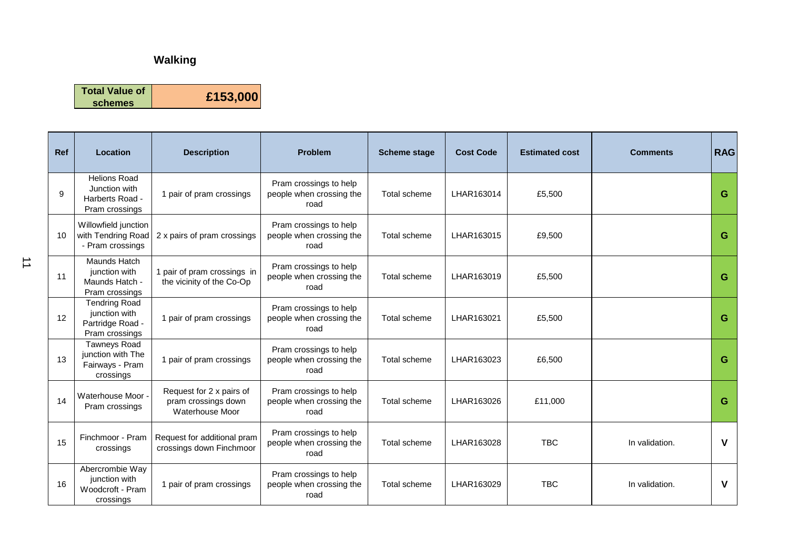**Total Value of schemes £153,000**

**Ref Location Description Problem Scheme stage Cost Code Estimated cost Comments RAG** 9 Helions Road Junction with Harberts Road - Pram crossings 1 pair of pram crossings Pram crossings to help people when crossing the road Total scheme LHAR163014 £5,500 **G** 10 Willowfield junction with Tendring Road - Pram crossings 2 x pairs of pram crossings Pram crossings to help people when crossing the road Total scheme LHAR163015 £9,500 **G** 11 Maunds Hatch junction with Maunds Hatch - Pram crossings 1 pair of pram crossings in the vicinity of the Co-Op Pram crossings to help people when crossing the road Total scheme LHAR163019 £5,500 **G** 12 Tendring Road junction with Partridge Road - Pram crossings 1 pair of pram crossings Pram crossings to help people when crossing the road Total scheme LHAR163021 £5,500 **G** 13 Tawneys Road junction with The Fairways - Pram crossings 1 pair of pram crossings Pram crossings to help people when crossing the road Total scheme LHAR163023 £6,500 **G** 14 Waterhouse Moor Pram crossings Request for 2 x pairs of pram crossings down Waterhouse Moor Pram crossings to help people when crossing the road Total scheme LHAR163026 £11,000 **G** 15 **Finchmoor** - Pram crossings Request for additional pram crossings down Finchmoor Pram crossings to help people when crossing the road Total scheme LHAR163028 TBC In validation. **V** Abercrombie Way Pram crossings to help

Total scheme LHAR163029 TBC In validation. **V**

people when crossing the road

16

junction with Woodcroft - Pram crossings

1 pair of pram crossings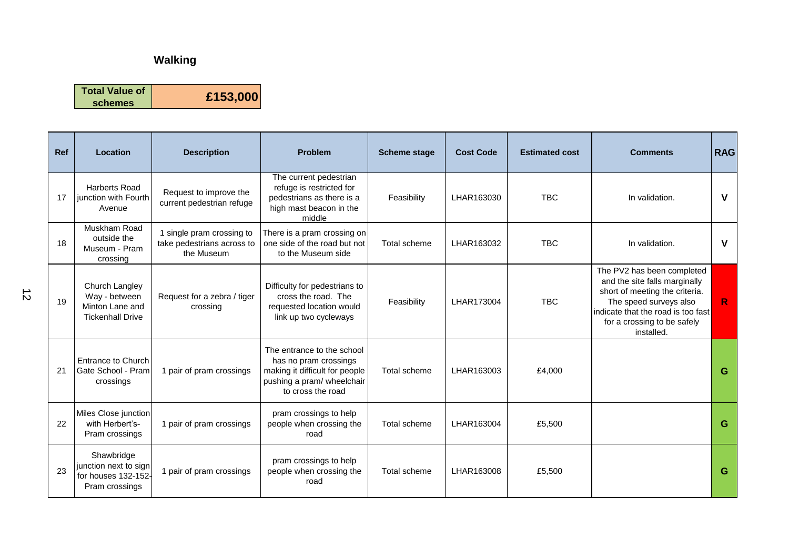**Total Value of schemes £153,000**

| <b>Ref</b>     | Location                                                                      | <b>Description</b>                                                  | <b>Problem</b>                                                                                                                           | <b>Scheme stage</b> | <b>Cost Code</b> | <b>Estimated cost</b> | <b>Comments</b>                                                                                                                                                                                            | <b>RAG</b>   |
|----------------|-------------------------------------------------------------------------------|---------------------------------------------------------------------|------------------------------------------------------------------------------------------------------------------------------------------|---------------------|------------------|-----------------------|------------------------------------------------------------------------------------------------------------------------------------------------------------------------------------------------------------|--------------|
| 17             | <b>Harberts Road</b><br>junction with Fourth<br>Avenue                        | Request to improve the<br>current pedestrian refuge                 | The current pedestrian<br>refuge is restricted for<br>pedestrians as there is a<br>high mast beacon in the<br>middle                     | Feasibility         | LHAR163030       | <b>TBC</b>            | In validation.                                                                                                                                                                                             | $\mathbf v$  |
| 18             | Muskham Road<br>outside the<br>Museum - Pram<br>crossing                      | single pram crossing to<br>take pedestrians across to<br>the Museum | There is a pram crossing on<br>one side of the road but not<br>to the Museum side                                                        | Total scheme        | LHAR163032       | <b>TBC</b>            | In validation.                                                                                                                                                                                             | $\mathbf v$  |
| 19             | Church Langley<br>Way - between<br>Minton Lane and<br><b>Tickenhall Drive</b> | Request for a zebra / tiger<br>crossing                             | Difficulty for pedestrians to<br>cross the road. The<br>requested location would<br>link up two cycleways                                | Feasibility         | LHAR173004       | <b>TBC</b>            | The PV2 has been completed<br>and the site falls marginally<br>short of meeting the criteria.<br>The speed surveys also<br>indicate that the road is too fast<br>for a crossing to be safely<br>installed. | $\mathsf{R}$ |
| 2 <sub>1</sub> | Entrance to Church<br>Gate School - Pram<br>crossings                         | 1 pair of pram crossings                                            | The entrance to the school<br>has no pram crossings<br>making it difficult for people<br>pushing a pram/ wheelchair<br>to cross the road | Total scheme        | LHAR163003       | £4,000                |                                                                                                                                                                                                            | G            |
| 22             | Miles Close junction<br>with Herbert's-<br>Pram crossings                     | 1 pair of pram crossings                                            | pram crossings to help<br>people when crossing the<br>road                                                                               | Total scheme        | LHAR163004       | £5,500                |                                                                                                                                                                                                            | G            |
| 23             | Shawbridge<br>junction next to sign<br>for houses 132-152-<br>Pram crossings  | 1 pair of pram crossings                                            | pram crossings to help<br>people when crossing the<br>road                                                                               | Total scheme        | LHAR163008       | £5,500                |                                                                                                                                                                                                            | G            |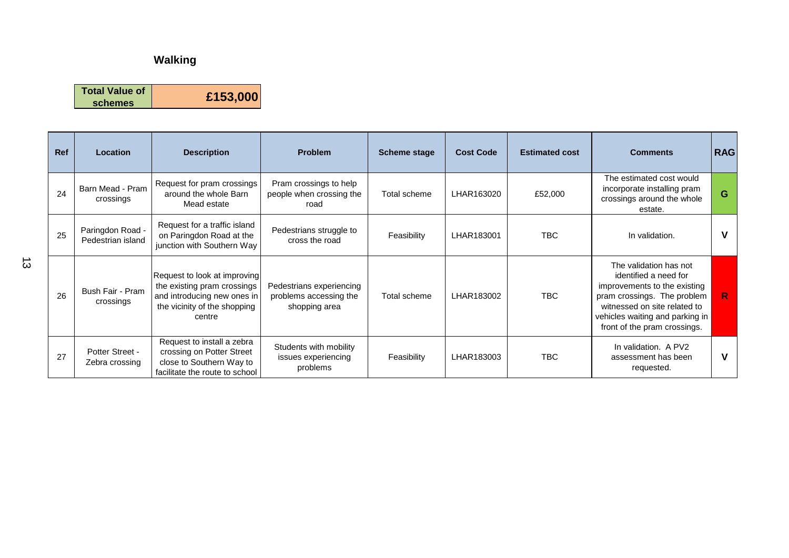**Total Value of schemes £153,000**

| <b>Ref</b> | Location                              | <b>Description</b>                                                                                                                   | <b>Problem</b>                                                      | <b>Scheme stage</b> | <b>Cost Code</b> | <b>Estimated cost</b> | <b>Comments</b>                                                                                                                                                                                                   | <b>RAG</b> |
|------------|---------------------------------------|--------------------------------------------------------------------------------------------------------------------------------------|---------------------------------------------------------------------|---------------------|------------------|-----------------------|-------------------------------------------------------------------------------------------------------------------------------------------------------------------------------------------------------------------|------------|
| 24         | Barn Mead - Pram<br>crossings         | Request for pram crossings<br>around the whole Barn<br>Mead estate                                                                   | Pram crossings to help<br>people when crossing the<br>road          | Total scheme        | LHAR163020       | £52,000               | The estimated cost would<br>incorporate installing pram<br>crossings around the whole<br>estate.                                                                                                                  | G          |
| 25         | Paringdon Road -<br>Pedestrian island | Request for a traffic island<br>on Paringdon Road at the<br>junction with Southern Way                                               | Pedestrians struggle to<br>cross the road                           | Feasibility         | LHAR183001       | <b>TBC</b>            | In validation.                                                                                                                                                                                                    | v          |
| 26         | Bush Fair - Pram<br>crossings         | Request to look at improving<br>the existing pram crossings<br>and introducing new ones in<br>the vicinity of the shopping<br>centre | Pedestrians experiencing<br>problems accessing the<br>shopping area | Total scheme        | LHAR183002       | <b>TBC</b>            | The validation has not<br>identified a need for<br>improvements to the existing<br>pram crossings. The problem<br>witnessed on site related to<br>vehicles waiting and parking in<br>front of the pram crossings. |            |
| 27         | Potter Street -<br>Zebra crossing     | Request to install a zebra<br>crossing on Potter Street<br>close to Southern Way to<br>facilitate the route to school                | Students with mobility<br>issues experiencing<br>problems           | Feasibility         | LHAR183003       | <b>TBC</b>            | In validation. A PV2<br>assessment has been<br>requested.                                                                                                                                                         | v          |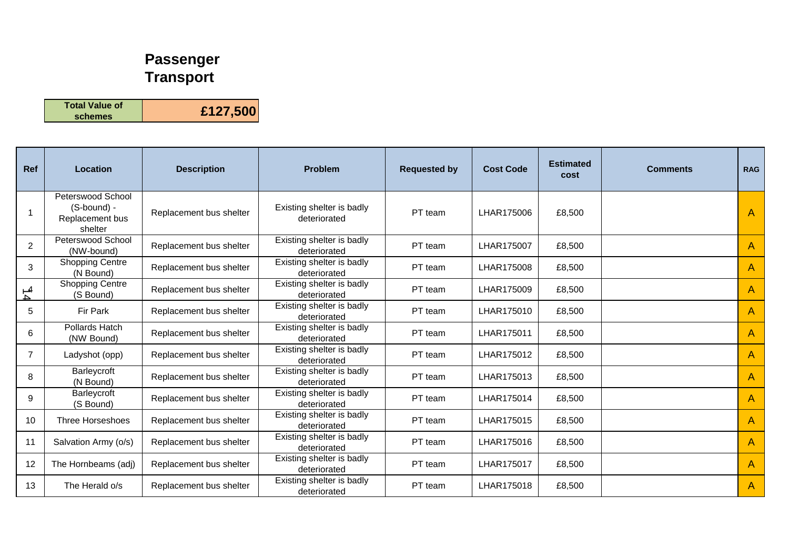## **Passenger Transport**

**Total Value of schemes £127,500**

| <b>Ref</b>     | Location                                                       | <b>Description</b>      | <b>Problem</b>                            | <b>Requested by</b> | <b>Cost Code</b> | <b>Estimated</b><br>cost | <b>Comments</b> | <b>RAG</b>   |
|----------------|----------------------------------------------------------------|-------------------------|-------------------------------------------|---------------------|------------------|--------------------------|-----------------|--------------|
|                | Peterswood School<br>(S-bound) -<br>Replacement bus<br>shelter | Replacement bus shelter | Existing shelter is badly<br>deteriorated | PT team             | LHAR175006       | £8,500                   |                 | $\mathsf{A}$ |
| $\overline{2}$ | Peterswood School<br>(NW-bound)                                | Replacement bus shelter | Existing shelter is badly<br>deteriorated | PT team             | LHAR175007       | £8,500                   |                 | A            |
| 3              | <b>Shopping Centre</b><br>(N Bound)                            | Replacement bus shelter | Existing shelter is badly<br>deteriorated | PT team             | LHAR175008       | £8,500                   |                 | A            |
| $\frac{4}{4}$  | <b>Shopping Centre</b><br>(S Bound)                            | Replacement bus shelter | Existing shelter is badly<br>deteriorated | PT team             | LHAR175009       | £8,500                   |                 | A            |
| 5              | Fir Park                                                       | Replacement bus shelter | Existing shelter is badly<br>deteriorated | PT team             | LHAR175010       | £8,500                   |                 | $\mathsf{A}$ |
| 6              | Pollards Hatch<br>(NW Bound)                                   | Replacement bus shelter | Existing shelter is badly<br>deteriorated | PT team             | LHAR175011       | £8,500                   |                 | $\mathsf{A}$ |
| $\overline{7}$ | Ladyshot (opp)                                                 | Replacement bus shelter | Existing shelter is badly<br>deteriorated | PT team             | LHAR175012       | £8,500                   |                 | A            |
| 8              | Barleycroft<br>(N Bound)                                       | Replacement bus shelter | Existing shelter is badly<br>deteriorated | PT team             | LHAR175013       | £8,500                   |                 | $\mathsf{A}$ |
| 9              | Barleycroft<br>(S Bound)                                       | Replacement bus shelter | Existing shelter is badly<br>deteriorated | PT team             | LHAR175014       | £8,500                   |                 | $\mathsf{A}$ |
| 10             | Three Horseshoes                                               | Replacement bus shelter | Existing shelter is badly<br>deteriorated | PT team             | LHAR175015       | £8,500                   |                 | A            |
| 11             | Salvation Army (o/s)                                           | Replacement bus shelter | Existing shelter is badly<br>deteriorated | PT team             | LHAR175016       | £8,500                   |                 | A            |
| 12             | The Hornbeams (adj)                                            | Replacement bus shelter | Existing shelter is badly<br>deteriorated | PT team             | LHAR175017       | £8,500                   |                 | A            |
| 13             | The Herald o/s                                                 | Replacement bus shelter | Existing shelter is badly<br>deteriorated | PT team             | LHAR175018       | £8,500                   |                 | $\mathsf{A}$ |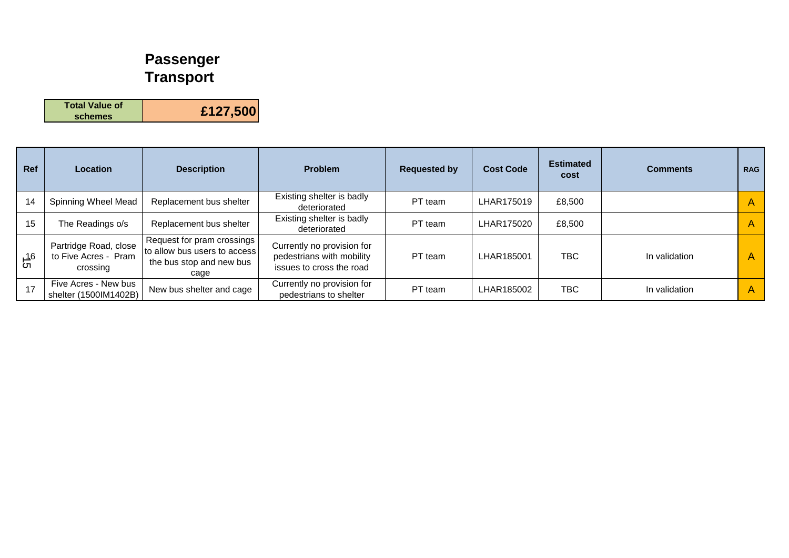# **Passenger Transport**

**Total Value of schemes £127,500**

| Ref             | Location                                                  | <b>Description</b>                                                                                 | <b>Problem</b>                                                                      | <b>Requested by</b> | <b>Cost Code</b> | <b>Estimated</b><br>cost | <b>Comments</b> | <b>RAG</b> |
|-----------------|-----------------------------------------------------------|----------------------------------------------------------------------------------------------------|-------------------------------------------------------------------------------------|---------------------|------------------|--------------------------|-----------------|------------|
| 14              | Spinning Wheel Mead                                       | Replacement bus shelter                                                                            | Existing shelter is badly<br>deteriorated                                           | PT team             | LHAR175019       | £8,500                   |                 | A          |
| 15              | The Readings o/s                                          | Replacement bus shelter                                                                            | Existing shelter is badly<br>deteriorated                                           | PT team             | LHAR175020       | £8,500                   |                 | A          |
| <u>ქ</u> 6<br>თ | Partridge Road, close<br>to Five Acres - Pram<br>crossing | Request for pram crossings<br>I to allow bus users to access I<br>the bus stop and new bus<br>cage | Currently no provision for<br>pedestrians with mobility<br>issues to cross the road | PT team             | LHAR185001       | <b>TBC</b>               | In validation   | A          |
| 17              | Five Acres - New bus<br>shelter (1500IM1402B)             | New bus shelter and cage                                                                           | Currently no provision for<br>pedestrians to shelter                                | PT team             | LHAR185002       | TBC.                     | In validation   | A          |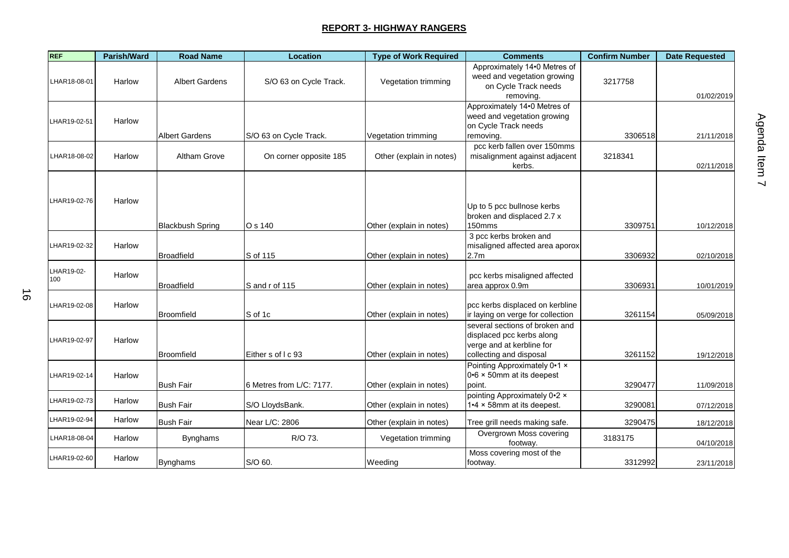| <b>REF</b>        | <b>Parish/Ward</b> | <b>Road Name</b>        | <b>Location</b>          | <b>Type of Work Required</b> | <b>Comments</b>                                                                                                     | <b>Confirm Number</b> | <b>Date Requested</b> |
|-------------------|--------------------|-------------------------|--------------------------|------------------------------|---------------------------------------------------------------------------------------------------------------------|-----------------------|-----------------------|
| LHAR18-08-01      | Harlow             | <b>Albert Gardens</b>   | S/O 63 on Cycle Track.   | Vegetation trimming          | Approximately 14.0 Metres of<br>weed and vegetation growing<br>on Cycle Track needs<br>removing.                    | 3217758               | 01/02/2019            |
| LHAR19-02-51      | Harlow             | <b>Albert Gardens</b>   | S/O 63 on Cycle Track.   | Vegetation trimming          | Approximately 14.0 Metres of<br>weed and vegetation growing<br>on Cycle Track needs<br>removing.                    | 3306518               | 21/11/2018            |
| LHAR18-08-02      | Harlow             | Altham Grove            | On corner opposite 185   | Other (explain in notes)     | pcc kerb fallen over 150mms<br>misalignment against adjacent<br>kerbs.                                              | 3218341               | 02/11/2018            |
| LHAR19-02-76      | Harlow             | <b>Blackbush Spring</b> | O s 140                  | Other (explain in notes)     | Up to 5 pcc bullnose kerbs<br>broken and displaced 2.7 x<br>150mms                                                  | 3309751               | 10/12/2018            |
| LHAR19-02-32      | Harlow             | <b>Broadfield</b>       | S of 115                 | Other (explain in notes)     | 3 pcc kerbs broken and<br>misaligned affected area aporox<br>2.7 <sub>m</sub>                                       | 3306932               | 02/10/2018            |
| LHAR19-02-<br>100 | Harlow             | <b>Broadfield</b>       | S and r of 115           | Other (explain in notes)     | pcc kerbs misaligned affected<br>area approx 0.9m                                                                   | 3306931               | 10/01/2019            |
| LHAR19-02-08      | Harlow             | Broomfield              | S of 1c                  | Other (explain in notes)     | pcc kerbs displaced on kerbline<br>ir laying on verge for collection                                                | 3261154               | 05/09/2018            |
| LHAR19-02-97      | Harlow             | Broomfield              | Either s of I c 93       | Other (explain in notes)     | several sections of broken and<br>displaced pcc kerbs along<br>verge and at kerbline for<br>collecting and disposal | 3261152               | 19/12/2018            |
| LHAR19-02-14      | Harlow             | <b>Bush Fair</b>        | 6 Metres from L/C: 7177. | Other (explain in notes)     | Pointing Approximately 0.1 x<br>0.6 × 50mm at its deepest<br>point.                                                 | 3290477               | 11/09/2018            |
| LHAR19-02-73      | Harlow             | <b>Bush Fair</b>        | S/O LloydsBank.          | Other (explain in notes)     | pointing Approximately 0.2 x<br>1.4 x 58mm at its deepest.                                                          | 3290081               | 07/12/2018            |
| LHAR19-02-94      | Harlow             | <b>Bush Fair</b>        | Near L/C: 2806           | Other (explain in notes)     | Tree grill needs making safe.                                                                                       | 3290475               | 18/12/2018            |
| LHAR18-08-04      | Harlow             | <b>Bynghams</b>         | R/O 73.                  | Vegetation trimming          | Overgrown Moss covering<br>footway.                                                                                 | 3183175               | 04/10/2018            |
| LHAR19-02-60      | Harlow             | <b>Bynghams</b>         | S/O 60.                  | Weeding                      | Moss covering most of the<br>footway.                                                                               | 3312992               | 23/11/2018            |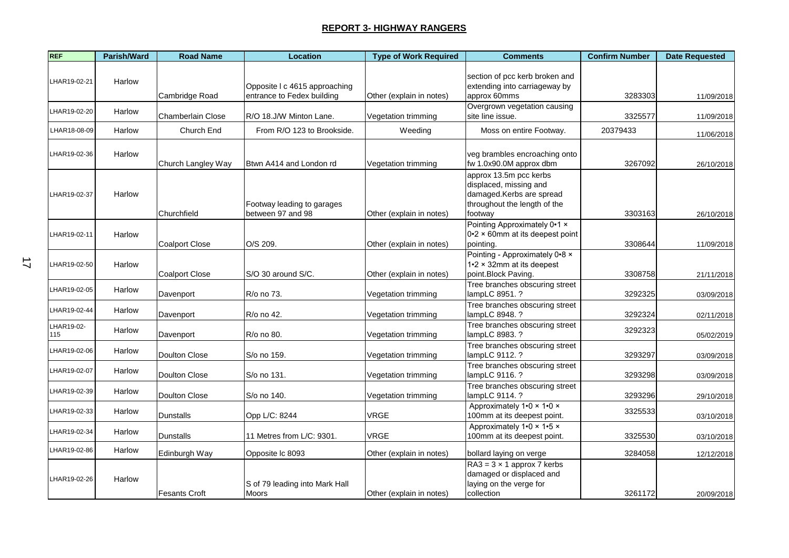| <b>REF</b>        | Parish/Ward | <b>Road Name</b>         | <b>Location</b>                                             | <b>Type of Work Required</b> | <b>Comments</b>                                                                                                         | <b>Confirm Number</b> | <b>Date Requested</b> |
|-------------------|-------------|--------------------------|-------------------------------------------------------------|------------------------------|-------------------------------------------------------------------------------------------------------------------------|-----------------------|-----------------------|
| LHAR19-02-21      | Harlow      | Cambridge Road           | Opposite I c 4615 approaching<br>entrance to Fedex building | Other (explain in notes)     | section of pcc kerb broken and<br>extending into carriageway by<br>approx 60mms                                         | 3283303               | 11/09/2018            |
| LHAR19-02-20      | Harlow      | <b>Chamberlain Close</b> | R/O 18.J/W Minton Lane.                                     | Vegetation trimming          | Overgrown vegetation causing<br>site line issue.                                                                        | 3325577               | 11/09/2018            |
| LHAR18-08-09      | Harlow      | Church End               | From R/O 123 to Brookside.                                  | Weeding                      | Moss on entire Footway.                                                                                                 | 20379433              | 11/06/2018            |
| LHAR19-02-36      | Harlow      | Church Langley Way       | Btwn A414 and London rd                                     | Vegetation trimming          | veg brambles encroaching onto<br>fw 1.0x90.0M approx dbm                                                                | 3267092               | 26/10/2018            |
| LHAR19-02-37      | Harlow      | Churchfield              | Footway leading to garages<br>between 97 and 98             | Other (explain in notes)     | approx 13.5m pcc kerbs<br>displaced, missing and<br>damaged.Kerbs are spread<br>throughout the length of the<br>footway | 3303163               | 26/10/2018            |
| LHAR19-02-11      | Harlow      | <b>Coalport Close</b>    | O/S 209.                                                    | Other (explain in notes)     | Pointing Approximately 0.1 x<br>$0.2 \times 60$ mm at its deepest point<br>pointing.                                    | 3308644               | 11/09/2018            |
| LHAR19-02-50      | Harlow      | Coalport Close           | S/O 30 around S/C.                                          | Other (explain in notes)     | Pointing - Approximately 0.8 x<br>$1.2 \times 32$ mm at its deepest<br>point.Block Paving.                              | 3308758               | 21/11/2018            |
| LHAR19-02-05      | Harlow      | Davenport                | R/o no 73.                                                  | Vegetation trimming          | Tree branches obscuring street<br>lampLC 8951. ?                                                                        | 3292325               | 03/09/2018            |
| LHAR19-02-44      | Harlow      | Davenport                | R/o no 42.                                                  | Vegetation trimming          | Tree branches obscuring street<br>lampLC 8948. ?                                                                        | 3292324               | 02/11/2018            |
| LHAR19-02-<br>115 | Harlow      | Davenport                | R/o no 80.                                                  | Vegetation trimming          | Tree branches obscuring street<br>lampLC 8983. ?                                                                        | 3292323               | 05/02/2019            |
| LHAR19-02-06      | Harlow      | Doulton Close            | S/o no 159.                                                 | Vegetation trimming          | Tree branches obscuring street<br>lampLC 9112. ?                                                                        | 3293297               | 03/09/2018            |
| LHAR19-02-07      | Harlow      | <b>Doulton Close</b>     | S/o no 131.                                                 | Vegetation trimming          | Tree branches obscuring street<br>lampLC 9116.?                                                                         | 3293298               | 03/09/2018            |
| HAR19-02-39       | Harlow      | <b>Doulton Close</b>     | S/o no 140.                                                 | Vegetation trimming          | Tree branches obscuring street<br>lampLC 9114. ?                                                                        | 3293296               | 29/10/2018            |
| LHAR19-02-33      | Harlow      | Dunstalls                | Opp L/C: 8244                                               | VRGE                         | Approximately 1.0 x 1.0 x<br>100mm at its deepest point.                                                                | 3325533               | 03/10/2018            |
| LHAR19-02-34      | Harlow      | <b>Dunstalls</b>         | 11 Metres from L/C: 9301.                                   | VRGE                         | Approximately 1.0 x 1.5 x<br>100mm at its deepest point.                                                                | 3325530               | 03/10/2018            |
| LHAR19-02-86      | Harlow      | Edinburgh Way            | Opposite Ic 8093                                            | Other (explain in notes)     | bollard laying on verge                                                                                                 | 3284058               | 12/12/2018            |
| LHAR19-02-26      | Harlow      | Fesants Croft            | S of 79 leading into Mark Hall<br>Moors                     | Other (explain in notes)     | $RA3 = 3 \times 1$ approx 7 kerbs<br>damaged or displaced and<br>laying on the verge for<br>collection                  | 3261172               | 20/09/2018            |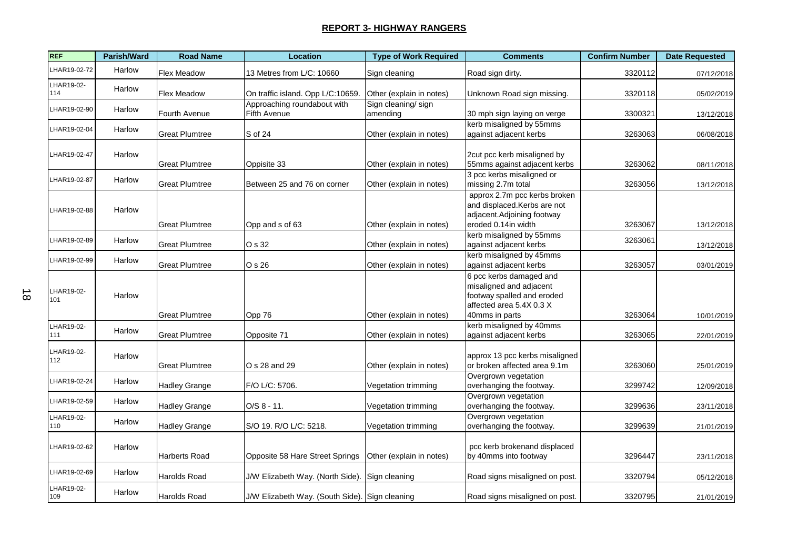| <b>REF</b>        | Parish/Ward | <b>Road Name</b>      | <b>Location</b>                                | <b>Type of Work Required</b>   | <b>Comments</b>                                                                                                                | <b>Confirm Number</b> | <b>Date Requested</b> |
|-------------------|-------------|-----------------------|------------------------------------------------|--------------------------------|--------------------------------------------------------------------------------------------------------------------------------|-----------------------|-----------------------|
| LHAR19-02-72      | Harlow      | Flex Meadow           | 13 Metres from L/C: 10660                      | Sign cleaning                  | Road sign dirty.                                                                                                               | 3320112               | 07/12/2018            |
| LHAR19-02-<br>114 | Harlow      | Flex Meadow           | On traffic island. Opp L/C:10659.              | Other (explain in notes)       | Unknown Road sign missing.                                                                                                     | 3320118               | 05/02/2019            |
| LHAR19-02-90      | Harlow      | Fourth Avenue         | Approaching roundabout with<br>Fifth Avenue    | Sign cleaning/sign<br>amending | 30 mph sign laying on verge                                                                                                    | 3300321               | 13/12/2018            |
| LHAR19-02-04      | Harlow      | <b>Great Plumtree</b> | S of 24                                        | Other (explain in notes)       | kerb misaligned by 55mms<br>against adjacent kerbs                                                                             | 3263063               | 06/08/2018            |
| LHAR19-02-47      | Harlow      | <b>Great Plumtree</b> | Oppisite 33                                    | Other (explain in notes)       | 2cut pcc kerb misaligned by<br>55mms against adjacent kerbs                                                                    | 3263062               | 08/11/2018            |
| LHAR19-02-87      | Harlow      | <b>Great Plumtree</b> | Between 25 and 76 on corner                    | Other (explain in notes)       | 3 pcc kerbs misaligned or<br>missing 2.7m total                                                                                | 3263056               | 13/12/2018            |
| LHAR19-02-88      | Harlow      | <b>Great Plumtree</b> | Opp and s of 63                                | Other (explain in notes)       | approx 2.7m pcc kerbs broken<br>and displaced. Kerbs are not<br>adjacent.Adjoining footway<br>eroded 0.14in width              | 3263067               | 13/12/2018            |
| LHAR19-02-89      | Harlow      | <b>Great Plumtree</b> | O s 32                                         | Other (explain in notes)       | kerb misaligned by 55mms<br>against adjacent kerbs                                                                             | 3263061               | 13/12/2018            |
| LHAR19-02-99      | Harlow      | <b>Great Plumtree</b> | O s 26                                         | Other (explain in notes)       | kerb misaligned by 45mms<br>against adjacent kerbs                                                                             | 3263057               | 03/01/2019            |
| LHAR19-02-<br>101 | Harlow      | <b>Great Plumtree</b> | Opp 76                                         | Other (explain in notes)       | 6 pcc kerbs damaged and<br>misaligned and adjacent<br>footway spalled and eroded<br>affected area 5.4X 0.3 X<br>40mms in parts | 3263064               | 10/01/2019            |
| LHAR19-02-<br>111 | Harlow      | <b>Great Plumtree</b> | Opposite 71                                    | Other (explain in notes)       | kerb misaligned by 40mms<br>against adjacent kerbs                                                                             | 3263065               | 22/01/2019            |
| LHAR19-02-<br>112 | Harlow      | <b>Great Plumtree</b> | O s 28 and 29                                  | Other (explain in notes)       | approx 13 pcc kerbs misaligned<br>or broken affected area 9.1m                                                                 | 3263060               | 25/01/2019            |
| LHAR19-02-24      | Harlow      | <b>Hadley Grange</b>  | F/O L/C: 5706.                                 | Vegetation trimming            | Overgrown vegetation<br>overhanging the footway.                                                                               | 3299742               | 12/09/2018            |
| LHAR19-02-59      | Harlow      | <b>Hadley Grange</b>  | $O/S 8 - 11.$                                  | Vegetation trimming            | Overgrown vegetation<br>overhanging the footway.                                                                               | 3299636               | 23/11/2018            |
| LHAR19-02-<br>110 | Harlow      | <b>Hadley Grange</b>  | S/O 19. R/O L/C: 5218.                         | Vegetation trimming            | Overgrown vegetation<br>overhanging the footway.                                                                               | 3299639               | 21/01/2019            |
| LHAR19-02-62      | Harlow      | Harberts Road         | Opposite 58 Hare Street Springs                | Other (explain in notes)       | pcc kerb brokenand displaced<br>by 40mms into footway                                                                          | 3296447               | 23/11/2018            |
| LHAR19-02-69      | Harlow      | Harolds Road          | J/W Elizabeth Way. (North Side).               | Sign cleaning                  | Road signs misaligned on post.                                                                                                 | 3320794               | 05/12/2018            |
| LHAR19-02-<br>109 | Harlow      | Harolds Road          | J/W Elizabeth Way. (South Side). Sign cleaning |                                | Road signs misaligned on post.                                                                                                 | 3320795               | 21/01/2019            |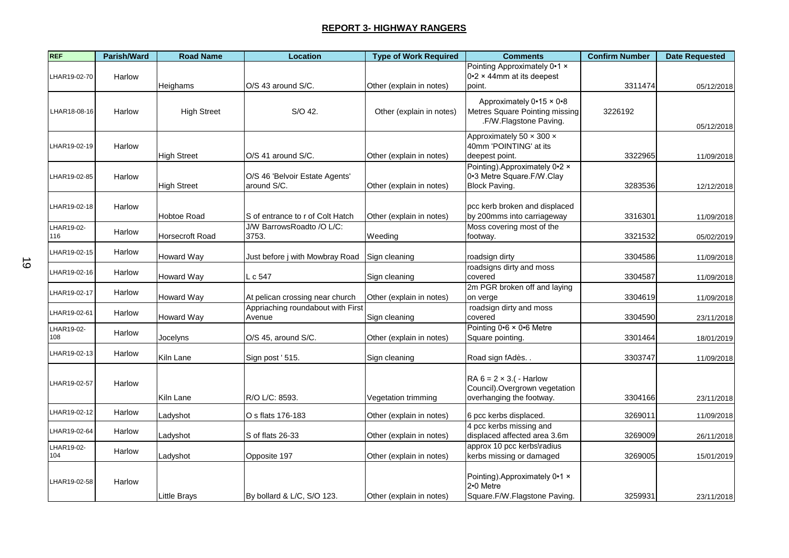| <b>REF</b>   | Parish/Ward | <b>Road Name</b>    | <b>Location</b>                               | <b>Type of Work Required</b> | <b>Comments</b>                                   | <b>Confirm Number</b> | <b>Date Requested</b> |
|--------------|-------------|---------------------|-----------------------------------------------|------------------------------|---------------------------------------------------|-----------------------|-----------------------|
|              |             |                     |                                               |                              | Pointing Approximately 0.1 x                      |                       |                       |
| LHAR19-02-70 | Harlow      |                     |                                               |                              | $0.2 \times 44$ mm at its deepest                 |                       |                       |
|              |             | Heighams            | O/S 43 around S/C.                            | Other (explain in notes)     | point.                                            | 3311474               | 05/12/2018            |
|              |             |                     |                                               |                              | Approximately 0.15 x 0.8                          |                       |                       |
| LHAR18-08-16 | Harlow      | <b>High Street</b>  | S/O 42.                                       | Other (explain in notes)     | Metres Square Pointing missing                    | 3226192               |                       |
|              |             |                     |                                               |                              | .F/W.Flagstone Paving.                            |                       | 05/12/2018            |
|              |             |                     |                                               |                              | Approximately 50 x 300 x                          |                       |                       |
| LHAR19-02-19 | Harlow      |                     |                                               |                              | 40mm 'POINTING' at its                            |                       |                       |
|              |             | <b>High Street</b>  | O/S 41 around S/C.                            | Other (explain in notes)     | deepest point.                                    | 3322965               | 11/09/2018            |
|              |             |                     |                                               |                              | Pointing). Approximately 0.2 x                    |                       |                       |
| LHAR19-02-85 | Harlow      | <b>High Street</b>  | O/S 46 'Belvoir Estate Agents'<br>around S/C. | Other (explain in notes)     | 0-3 Metre Square F/W Clay<br><b>Block Paving.</b> | 3283536               |                       |
|              |             |                     |                                               |                              |                                                   |                       | 12/12/2018            |
| LHAR19-02-18 | Harlow      |                     |                                               |                              | pcc kerb broken and displaced                     |                       |                       |
|              |             | Hobtoe Road         | S of entrance to r of Colt Hatch              | Other (explain in notes)     | by 200mms into carriageway                        | 3316301               | 11/09/2018            |
| LHAR19-02-   |             |                     | J/W BarrowsRoadto /O L/C:                     |                              | Moss covering most of the                         |                       |                       |
| 116          | Harlow      | Horsecroft Road     | 3753.                                         | Weeding                      | footway.                                          | 3321532               | 05/02/2019            |
| LHAR19-02-15 | Harlow      |                     |                                               |                              |                                                   |                       |                       |
|              |             | Howard Way          | Just before j with Mowbray Road               | Sign cleaning                | roadsign dirty                                    | 3304586               | 11/09/2018            |
| HAR19-02-16  | Harlow      |                     |                                               |                              | roadsigns dirty and moss                          |                       |                       |
|              |             | Howard Way          | L c 547                                       | Sign cleaning                | covered<br>2m PGR broken off and laying           | 3304587               | 11/09/2018            |
| HAR19-02-17  | Harlow      | Howard Way          | At pelican crossing near church               | Other (explain in notes)     | on verge                                          | 3304619               | 11/09/2018            |
|              |             |                     | Appriaching roundabout with First             |                              | roadsign dirty and moss                           |                       |                       |
| LHAR19-02-61 | Harlow      | Howard Way          | Avenue                                        | Sign cleaning                | covered                                           | 3304590               | 23/11/2018            |
| LHAR19-02-   | Harlow      |                     |                                               |                              | Pointing 0.6 × 0.6 Metre                          |                       |                       |
| 108          |             | Jocelyns            | O/S 45, around S/C.                           | Other (explain in notes)     | Square pointing.                                  | 3301464               | 18/01/2019            |
| HAR19-02-13  | Harlow      | Kiln Lane           | Sign post ' 515.                              | Sign cleaning                | Road sign fAdès                                   | 3303747               |                       |
|              |             |                     |                                               |                              |                                                   |                       | 11/09/2018            |
|              |             |                     |                                               |                              | RA $6 = 2 \times 3$ . ( - Harlow                  |                       |                       |
| LHAR19-02-57 | Harlow      |                     |                                               |                              | Council). Overgrown vegetation                    |                       |                       |
|              |             | Kiln Lane           | R/O L/C: 8593.                                | Vegetation trimming          | overhanging the footway.                          | 3304166               | 23/11/2018            |
| LHAR19-02-12 | Harlow      | Ladyshot            | O s flats 176-183                             | Other (explain in notes)     | 6 pcc kerbs displaced.                            | 3269011               |                       |
|              |             |                     |                                               |                              | 4 pcc kerbs missing and                           |                       | 11/09/2018            |
| HAR19-02-64  | Harlow      | Ladyshot            | S of flats 26-33                              | Other (explain in notes)     | displaced affected area 3.6m                      | 3269009               | 26/11/2018            |
| LHAR19-02-   |             |                     |                                               |                              | approx 10 pcc kerbs\radius                        |                       |                       |
| 104          | Harlow      | Ladyshot            | Opposite 197                                  | Other (explain in notes)     | kerbs missing or damaged                          | 3269005               | 15/01/2019            |
|              |             |                     |                                               |                              |                                                   |                       |                       |
| LHAR19-02-58 | Harlow      |                     |                                               |                              | Pointing). Approximately 0.1 x                    |                       |                       |
|              |             |                     |                                               |                              | 2.0 Metre                                         |                       |                       |
|              |             | <b>Little Brays</b> | By bollard & L/C, S/O 123.                    | Other (explain in notes)     | Square.F/W.Flagstone Paving.                      | 3259931               | 23/11/2018            |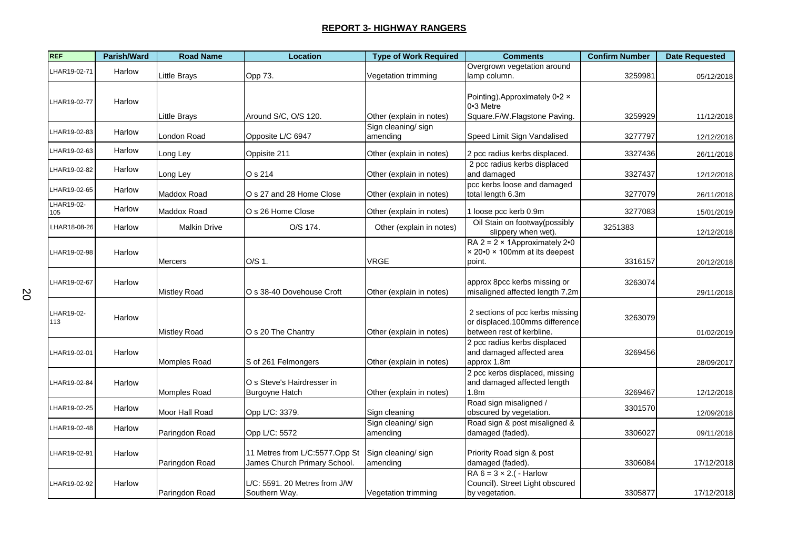| <b>REF</b>        | Parish/Ward | <b>Road Name</b>    | Location                                                       | <b>Type of Work Required</b>   | <b>Comments</b>                                                                                | <b>Confirm Number</b> | <b>Date Requested</b> |
|-------------------|-------------|---------------------|----------------------------------------------------------------|--------------------------------|------------------------------------------------------------------------------------------------|-----------------------|-----------------------|
| LHAR19-02-71      | Harlow      | Little Brays        | Opp 73.                                                        | Vegetation trimming            | Overgrown vegetation around<br>lamp column.                                                    | 3259981               | 05/12/2018            |
| LHAR19-02-77      | Harlow      |                     |                                                                |                                | Pointing). Approximately 0.2 x<br>0.3 Metre                                                    |                       |                       |
|                   |             | Little Brays        | Around S/C, O/S 120.                                           | Other (explain in notes)       | Square.F/W.Flagstone Paving.                                                                   | 3259929               | 11/12/2018            |
| LHAR19-02-83      | Harlow      | London Road         | Opposite L/C 6947                                              | Sign cleaning/sign<br>amending | Speed Limit Sign Vandalised                                                                    | 3277797               | 12/12/2018            |
| LHAR19-02-63      | Harlow      | Long Ley            | Oppisite 211                                                   | Other (explain in notes)       | 2 pcc radius kerbs displaced.                                                                  | 3327436               | 26/11/2018            |
| LHAR19-02-82      | Harlow      | Long Ley            | O s 214                                                        | Other (explain in notes)       | 2 pcc radius kerbs displaced<br>and damaged                                                    | 3327437               | 12/12/2018            |
| LHAR19-02-65      | Harlow      | Maddox Road         | O s 27 and 28 Home Close                                       | Other (explain in notes)       | pcc kerbs loose and damaged<br>total length 6.3m                                               | 3277079               | 26/11/2018            |
| LHAR19-02-<br>105 | Harlow      | Maddox Road         | O s 26 Home Close                                              | Other (explain in notes)       | 1 loose pcc kerb 0.9m                                                                          | 3277083               | 15/01/2019            |
| LHAR18-08-26      | Harlow      | <b>Malkin Drive</b> | O/S 174.                                                       | Other (explain in notes)       | Oil Stain on footway(possibly<br>slippery when wet).                                           | 3251383               | 12/12/2018            |
| LHAR19-02-98      | Harlow      | Mercers             | O/S 1.                                                         | VRGE                           | RA $2 = 2 \times 1$ Approximately $2 \cdot 0$<br>× 20.0 × 100mm at its deepest<br>point.       | 3316157               | 20/12/2018            |
| LHAR19-02-67      | Harlow      | <b>Mistley Road</b> | O s 38-40 Dovehouse Croft                                      | Other (explain in notes)       | approx 8pcc kerbs missing or<br>misaligned affected length 7.2m                                | 3263074               | 29/11/2018            |
| LHAR19-02-<br>113 | Harlow      | Mistley Road        | O s 20 The Chantry                                             | Other (explain in notes)       | 2 sections of pcc kerbs missing<br>or displaced.100mms difference<br>between rest of kerbline. | 3263079               | 01/02/2019            |
| LHAR19-02-01      | Harlow      | Momples Road        | S of 261 Felmongers                                            | Other (explain in notes)       | 2 pcc radius kerbs displaced<br>and damaged affected area<br>approx 1.8m                       | 3269456               | 28/09/2017            |
| LHAR19-02-84      | Harlow      | Momples Road        | O s Steve's Hairdresser in<br>Burgoyne Hatch                   | Other (explain in notes)       | 2 pcc kerbs displaced, missing<br>and damaged affected length<br>1.8 <sub>m</sub>              | 3269467               | 12/12/2018            |
| LHAR19-02-25      | Harlow      | Moor Hall Road      | Opp L/C: 3379.                                                 | Sign cleaning                  | Road sign misaligned /<br>obscured by vegetation.                                              | 3301570               | 12/09/2018            |
| LHAR19-02-48      | Harlow      | Paringdon Road      | Opp L/C: 5572                                                  | Sign cleaning/sign<br>amending | Road sign & post misaligned &<br>damaged (faded).                                              | 3306027               | 09/11/2018            |
| LHAR19-02-91      | Harlow      | Paringdon Road      | 11 Metres from L/C:5577.Opp St<br>James Church Primary School. | Sign cleaning/sign<br>amending | Priority Road sign & post<br>damaged (faded).                                                  | 3306084               | 17/12/2018            |
| LHAR19-02-92      | Harlow      | Paringdon Road      | L/C: 5591, 20 Metres from J/W<br>Southern Way.                 | Vegetation trimming            | RA $6 = 3 \times 2$ . ( - Harlow<br>Council). Street Light obscured<br>by vegetation.          | 3305877               | 17/12/2018            |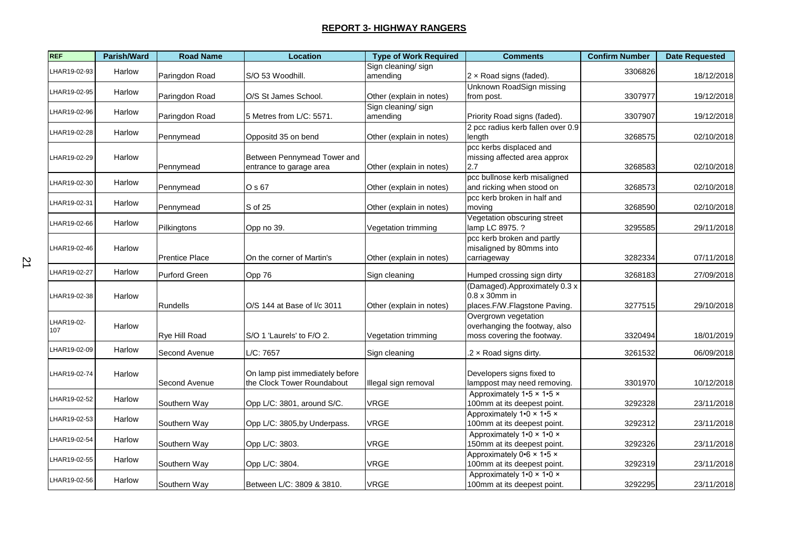| <b>REF</b>        | Parish/Ward | <b>Road Name</b>      | <b>Location</b>                                               | <b>Type of Work Required</b>   | <b>Comments</b>                                                                     | <b>Confirm Number</b> | <b>Date Requested</b> |
|-------------------|-------------|-----------------------|---------------------------------------------------------------|--------------------------------|-------------------------------------------------------------------------------------|-----------------------|-----------------------|
| LHAR19-02-93      | Harlow      | Paringdon Road        | S/O 53 Woodhill.                                              | Sign cleaning/sign<br>amending | 2 x Road signs (faded).                                                             | 3306826               | 18/12/2018            |
| HAR19-02-95       | Harlow      | Paringdon Road        | O/S St James School.                                          | Other (explain in notes)       | Unknown RoadSign missing<br>from post.                                              | 3307977               | 19/12/2018            |
| LHAR19-02-96      | Harlow      | Paringdon Road        | 5 Metres from L/C: 5571.                                      | Sign cleaning/sign<br>amending | Priority Road signs (faded).                                                        | 3307907               | 19/12/2018            |
| LHAR19-02-28      | Harlow      | Pennymead             | Oppositd 35 on bend                                           | Other (explain in notes)       | 2 pcc radius kerb fallen over 0.9<br>length                                         | 3268575               | 02/10/2018            |
| LHAR19-02-29      | Harlow      | Pennymead             | Between Pennymead Tower and<br>entrance to garage area        | Other (explain in notes)       | pcc kerbs displaced and<br>missing affected area approx<br>2.7                      | 3268583               | 02/10/2018            |
| LHAR19-02-30      | Harlow      | Pennymead             | O s 67                                                        | Other (explain in notes)       | pcc bullnose kerb misaligned<br>and ricking when stood on                           | 3268573               | 02/10/2018            |
| LHAR19-02-31      | Harlow      | Pennymead             | S of 25                                                       | Other (explain in notes)       | pcc kerb broken in half and<br>moving                                               | 3268590               | 02/10/2018            |
| LHAR19-02-66      | Harlow      | Pilkingtons           | Opp no 39.                                                    | Vegetation trimming            | Vegetation obscuring street<br>lamp LC 8975. ?                                      | 3295585               | 29/11/2018            |
| LHAR19-02-46      | Harlow      | <b>Prentice Place</b> | On the corner of Martin's                                     | Other (explain in notes)       | pcc kerb broken and partly<br>misaligned by 80mms into<br>carriageway               | 3282334               | 07/11/2018            |
| LHAR19-02-27      | Harlow      | Purford Green         | Opp 76                                                        | Sign cleaning                  | Humped crossing sign dirty                                                          | 3268183               | 27/09/2018            |
| LHAR19-02-38      | Harlow      | Rundells              | O/S 144 at Base of I/c 3011                                   | Other (explain in notes)       | (Damaged).Approximately 0.3 x<br>0.8 x 30mm in<br>places.F/W.Flagstone Paving.      | 3277515               | 29/10/2018            |
| LHAR19-02-<br>107 | Harlow      | <b>Rye Hill Road</b>  | S/O 1 'Laurels' to F/O 2.                                     | Vegetation trimming            | Overgrown vegetation<br>overhanging the footway, also<br>moss covering the footway. | 3320494               | 18/01/2019            |
| LHAR19-02-09      | Harlow      | Second Avenue         | L/C: 7657                                                     | Sign cleaning                  | $.2 \times$ Road signs dirty.                                                       | 3261532               | 06/09/2018            |
| LHAR19-02-74      | Harlow      | l Second Avenue       | On lamp pist immediately before<br>the Clock Tower Roundabout | Illegal sign removal           | Developers signs fixed to<br>lamppost may need removing.                            | 3301970               | 10/12/2018            |
| LHAR19-02-52      | Harlow      | Southern Way          | Opp L/C: 3801, around S/C.                                    | VRGE                           | Approximately 1.5 x 1.5 x<br>100mm at its deepest point.                            | 3292328               | 23/11/2018            |
| LHAR19-02-53      | Harlow      | Southern Way          | Opp L/C: 3805, by Underpass.                                  | <b>VRGE</b>                    | Approximately $1.0 \times 1.5 \times$<br>100mm at its deepest point.                | 3292312               | 23/11/2018            |
| LHAR19-02-54      | Harlow      | Southern Way          | Opp L/C: 3803.                                                | <b>VRGE</b>                    | Approximately 1.0 x 1.0 x<br>150mm at its deepest point.                            | 3292326               | 23/11/2018            |
| LHAR19-02-55      | Harlow      | Southern Way          | Opp L/C: 3804.                                                | <b>VRGE</b>                    | Approximately $0.6 \times 1.5 \times$<br>100mm at its deepest point.                | 3292319               | 23/11/2018            |
| LHAR19-02-56      | Harlow      | Southern Way          | Between L/C: 3809 & 3810.                                     | <b>VRGE</b>                    | Approximately 1.0 x 1.0 x<br>100mm at its deepest point.                            | 3292295               | 23/11/2018            |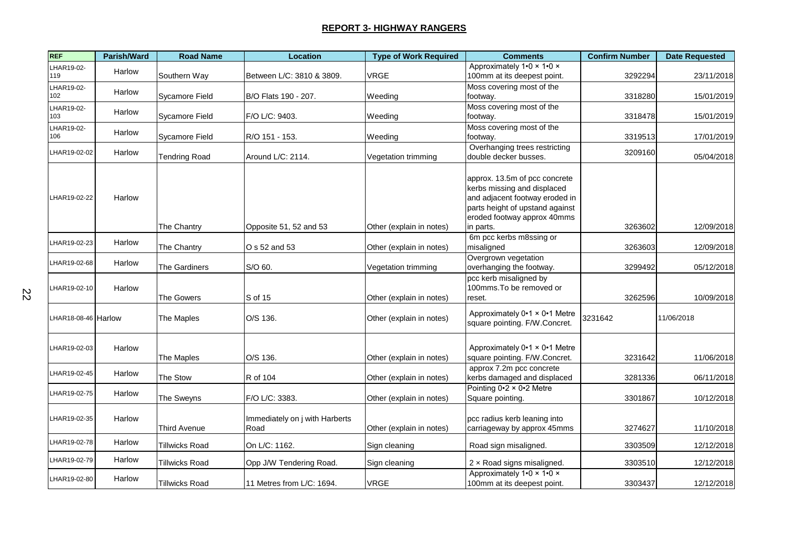| <b>REF</b>          | <b>Parish/Ward</b> | <b>Road Name</b>      | <b>Location</b>                        | <b>Type of Work Required</b> | <b>Comments</b>                                                                                                                                                               | <b>Confirm Number</b> | <b>Date Requested</b> |
|---------------------|--------------------|-----------------------|----------------------------------------|------------------------------|-------------------------------------------------------------------------------------------------------------------------------------------------------------------------------|-----------------------|-----------------------|
| LHAR19-02-<br>119   | Harlow             | Southern Way          | Between L/C: 3810 & 3809.              | <b>VRGE</b>                  | Approximately 1.0 x 1.0 x<br>100mm at its deepest point.                                                                                                                      | 3292294               | 23/11/2018            |
| LHAR19-02-<br>102   | Harlow             | <b>Sycamore Field</b> | B/O Flats 190 - 207.                   | Weeding                      | Moss covering most of the<br>footway.                                                                                                                                         | 3318280               | 15/01/2019            |
| LHAR19-02-<br>103   | Harlow             | Sycamore Field        | F/O L/C: 9403.                         | Weeding                      | Moss covering most of the<br>footway.                                                                                                                                         | 3318478               | 15/01/2019            |
| LHAR19-02-<br>106   | Harlow             | Sycamore Field        | R/O 151 - 153.                         | Weeding                      | Moss covering most of the<br>footway.                                                                                                                                         | 3319513               | 17/01/2019            |
| LHAR19-02-02        | Harlow             | <b>Tendring Road</b>  | Around L/C: 2114.                      | Vegetation trimming          | Overhanging trees restricting<br>double decker busses.                                                                                                                        | 3209160               | 05/04/2018            |
| LHAR19-02-22        | Harlow             | The Chantry           | Opposite 51, 52 and 53                 | Other (explain in notes)     | approx. 13.5m of pcc concrete<br>kerbs missing and displaced<br>and adjacent footway eroded in<br>parts height of upstand against<br>eroded footway approx 40mms<br>in parts. | 3263602               | 12/09/2018            |
| LHAR19-02-23        | Harlow             | The Chantry           | O s 52 and 53                          | Other (explain in notes)     | 6m pcc kerbs m8ssing or<br>misaligned                                                                                                                                         | 3263603               | 12/09/2018            |
| LHAR19-02-68        | Harlow             | The Gardiners         | S/O 60.                                | Vegetation trimming          | Overgrown vegetation<br>overhanging the footway.                                                                                                                              | 3299492               | 05/12/2018            |
| LHAR19-02-10        | Harlow             | The Gowers            | S of 15                                | Other (explain in notes)     | pcc kerb misaligned by<br>100mms. To be removed or<br>reset.                                                                                                                  | 3262596               | 10/09/2018            |
| LHAR18-08-46 Harlow |                    | The Maples            | O/S 136.                               | Other (explain in notes)     | Approximately 0.1 x 0.1 Metre<br>square pointing. F/W.Concret.                                                                                                                | 3231642               | 11/06/2018            |
| LHAR19-02-03        | Harlow             | The Maples            | O/S 136.                               | Other (explain in notes)     | Approximately 0.1 x 0.1 Metre<br>square pointing. F/W.Concret.                                                                                                                | 3231642               | 11/06/2018            |
| LHAR19-02-45        | Harlow             | The Stow              | R of 104                               | Other (explain in notes)     | approx 7.2m pcc concrete<br>kerbs damaged and displaced                                                                                                                       | 3281336               | 06/11/2018            |
| LHAR19-02-75        | Harlow             | The Sweyns            | F/O L/C: 3383.                         | Other (explain in notes)     | Pointing $0.2 \times 0.2$ Metre<br>Square pointing.                                                                                                                           | 3301867               | 10/12/2018            |
| LHAR19-02-35        | Harlow             | Third Avenue          | Immediately on j with Harberts<br>Road | Other (explain in notes)     | pcc radius kerb leaning into<br>carriageway by approx 45mms                                                                                                                   | 3274627               | 11/10/2018            |
| LHAR19-02-78        | Harlow             | Tillwicks Road        | On L/C: 1162.                          | Sign cleaning                | Road sign misaligned.                                                                                                                                                         | 3303509               | 12/12/2018            |
| LHAR19-02-79        | Harlow             | <b>Tillwicks Road</b> | Opp J/W Tendering Road.                | Sign cleaning                | 2 x Road signs misaligned.                                                                                                                                                    | 3303510               | 12/12/2018            |
| LHAR19-02-80        | Harlow             | Tillwicks Road        | 11 Metres from L/C: 1694.              | <b>VRGE</b>                  | Approximately 1.0 x 1.0 x<br>100mm at its deepest point.                                                                                                                      | 3303437               | 12/12/2018            |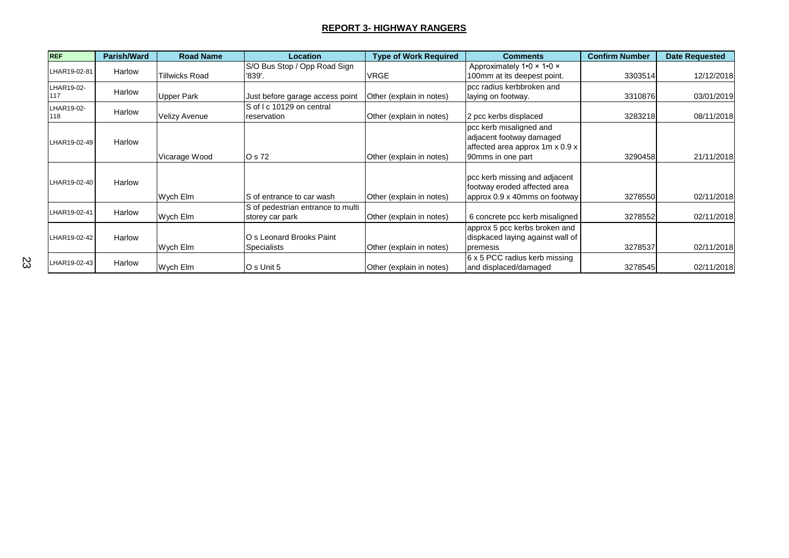| <b>REF</b>        | <b>Parish/Ward</b> | <b>Road Name</b>      | <b>Location</b>                                      | <b>Type of Work Required</b> | <b>Comments</b>                                                                                             | <b>Confirm Number</b> | <b>Date Requested</b> |
|-------------------|--------------------|-----------------------|------------------------------------------------------|------------------------------|-------------------------------------------------------------------------------------------------------------|-----------------------|-----------------------|
| LHAR19-02-81      | Harlow             | <b>Tillwicks Road</b> | S/O Bus Stop / Opp Road Sign<br>'839'.               | <b>VRGE</b>                  | Approximately 1.0 x 1.0 x<br>100mm at its deepest point.                                                    | 3303514               | 12/12/2018            |
| LHAR19-02-<br>117 | Harlow             | <b>Upper Park</b>     | Just before garage access point                      | Other (explain in notes)     | pcc radius kerbbroken and<br>laying on footway.                                                             | 3310876               | 03/01/2019            |
| LHAR19-02-<br>118 | Harlow             | <b>Velizy Avenue</b>  | S of I c 10129 on central<br>reservation             | Other (explain in notes)     | 2 pcc kerbs displaced                                                                                       | 3283218               | 08/11/2018            |
| LHAR19-02-49      | Harlow             | Vicarage Wood         | O s 72                                               | Other (explain in notes)     | pcc kerb misaligned and<br>adjacent footway damaged<br>affected area approx 1m x 0.9 x<br>90mms in one part | 3290458               | 21/11/2018            |
| LHAR19-02-40      | Harlow             | Wych Elm              | IS of entrance to car wash                           | Other (explain in notes)     | pcc kerb missing and adjacent<br>footway eroded affected area<br>approx 0.9 x 40mms on footway              | 3278550               | 02/11/2018            |
| LHAR19-02-41      | Harlow             | Wych Elm              | S of pedestrian entrance to multi<br>storey car park | Other (explain in notes)     | 6 concrete pcc kerb misaligned                                                                              | 3278552               | 02/11/2018            |
| LHAR19-02-42      | Harlow             | Wych Elm              | O s Leonard Brooks Paint<br><b>Specialists</b>       | Other (explain in notes)     | approx 5 pcc kerbs broken and<br>dispkaced laying against wall of<br>premesis                               | 3278537               | 02/11/2018            |
| LHAR19-02-43      | Harlow             | Wych Elm              | O s Unit 5                                           | Other (explain in notes)     | 6 x 5 PCC radius kerb missing<br>and displaced/damaged                                                      | 3278545               | 02/11/2018            |